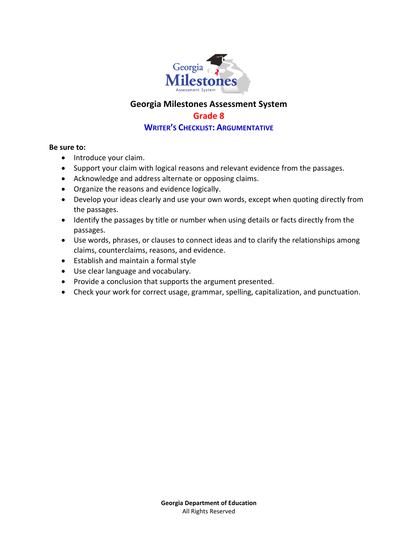

# **Georgia Milestones Assessment System Grade 8**

## **WRITER'S CHECKLIST: ARGUMENTATIVE**

#### **Be sure to:**

- Introduce your claim.
- Support your claim with logical reasons and relevant evidence from the passages.
- Acknowledge and address alternate or opposing claims.
- Organize the reasons and evidence logically.
- Develop your ideas clearly and use your own words, except when quoting directly from the passages.
- Identify the passages by title or number when using details or facts directly from the passages.
- Use words, phrases, or clauses to connect ideas and to clarify the relationships among claims, counterclaims, reasons, and evidence.
- Establish and maintain a formal style
- Use clear language and vocabulary.
- Provide a conclusion that supports the argument presented.
- Check your work for correct usage, grammar, spelling, capitalization, and punctuation.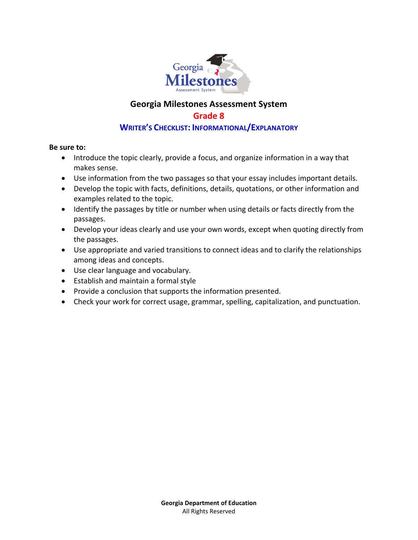

# **Georgia Milestones Assessment System Grade 8**

## **WRITER'S CHECKLIST: INFORMATIONAL/EXPLANATORY**

#### **Be sure to:**

- Introduce the topic clearly, provide a focus, and organize information in a way that makes sense.
- Use information from the two passages so that your essay includes important details.
- Develop the topic with facts, definitions, details, quotations, or other information and examples related to the topic.
- Identify the passages by title or number when using details or facts directly from the passages.
- Develop your ideas clearly and use your own words, except when quoting directly from the passages.
- Use appropriate and varied transitions to connect ideas and to clarify the relationships among ideas and concepts.
- Use clear language and vocabulary.
- Establish and maintain a formal style
- Provide a conclusion that supports the information presented.
- Check your work for correct usage, grammar, spelling, capitalization, and punctuation.